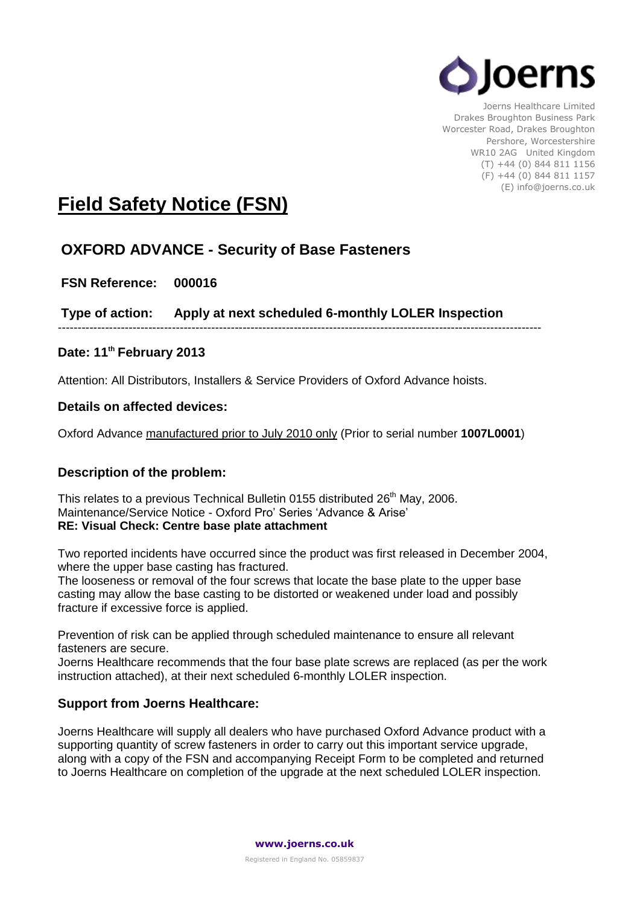

Joerns Healthcare Limited Drakes Broughton Business Park Worcester Road, Drakes Broughton Pershore, Worcestershire WR10 2AG United Kingdom (T) +44 (0) 844 811 1156 (F) +44 (0) 844 811 1157 (E) info@joerns.co.uk

# **Field Safety Notice (FSN)**

## **OXFORD ADVANCE - Security of Base Fasteners**

**FSN Reference: 000016**

**Type of action: Apply at next scheduled 6-monthly LOLER Inspection**

---------------------------------------------------------------------------------------------------------------------------

## **Date: 11th February 2013**

Attention: All Distributors, Installers & Service Providers of Oxford Advance hoists.

#### **Details on affected devices:**

Oxford Advance manufactured prior to July 2010 only (Prior to serial number **1007L0001**)

#### **Description of the problem:**

This relates to a previous Technical Bulletin 0155 distributed  $26<sup>th</sup>$  May, 2006. Maintenance/Service Notice - Oxford Pro' Series 'Advance & Arise' **RE: Visual Check: Centre base plate attachment**

Two reported incidents have occurred since the product was first released in December 2004, where the upper base casting has fractured.

The looseness or removal of the four screws that locate the base plate to the upper base casting may allow the base casting to be distorted or weakened under load and possibly fracture if excessive force is applied.

Prevention of risk can be applied through scheduled maintenance to ensure all relevant fasteners are secure.

Joerns Healthcare recommends that the four base plate screws are replaced (as per the work instruction attached), at their next scheduled 6-monthly LOLER inspection.

#### **Support from Joerns Healthcare:**

Joerns Healthcare will supply all dealers who have purchased Oxford Advance product with a supporting quantity of screw fasteners in order to carry out this important service upgrade, along with a copy of the FSN and accompanying Receipt Form to be completed and returned to Joerns Healthcare on completion of the upgrade at the next scheduled LOLER inspection.

**www.joerns.co.uk**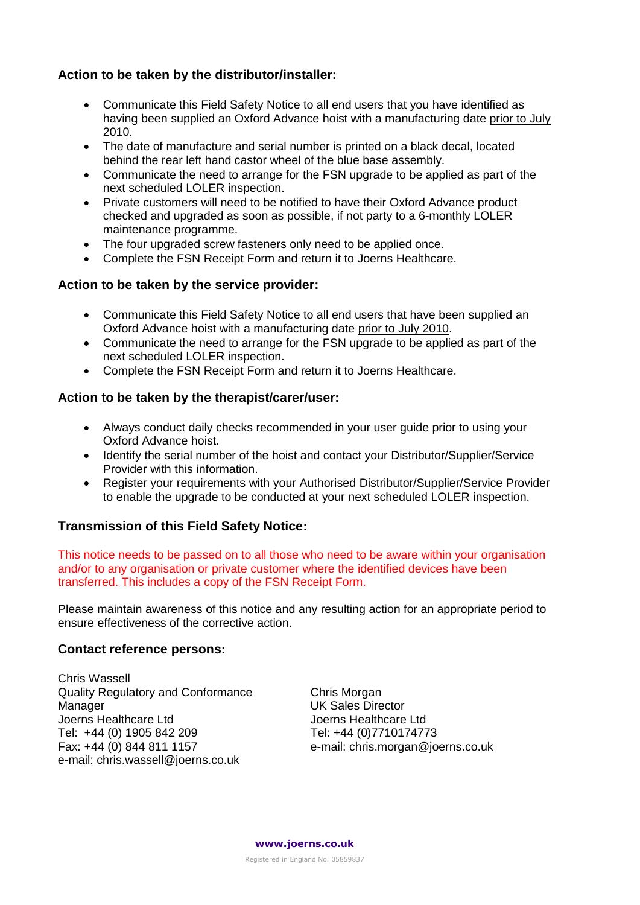### **Action to be taken by the distributor/installer:**

- Communicate this Field Safety Notice to all end users that you have identified as having been supplied an Oxford Advance hoist with a manufacturing date prior to July 2010.
- The date of manufacture and serial number is printed on a black decal, located behind the rear left hand castor wheel of the blue base assembly.
- Communicate the need to arrange for the FSN upgrade to be applied as part of the next scheduled LOLER inspection.
- Private customers will need to be notified to have their Oxford Advance product checked and upgraded as soon as possible, if not party to a 6-monthly LOLER maintenance programme.
- The four upgraded screw fasteners only need to be applied once.
- Complete the FSN Receipt Form and return it to Joerns Healthcare.

#### **Action to be taken by the service provider:**

- Communicate this Field Safety Notice to all end users that have been supplied an Oxford Advance hoist with a manufacturing date prior to July 2010.
- Communicate the need to arrange for the FSN upgrade to be applied as part of the next scheduled LOLER inspection.
- Complete the FSN Receipt Form and return it to Joerns Healthcare.

#### **Action to be taken by the therapist/carer/user:**

- Always conduct daily checks recommended in your user guide prior to using your Oxford Advance hoist.
- Identify the serial number of the hoist and contact your Distributor/Supplier/Service Provider with this information.
- Register your requirements with your Authorised Distributor/Supplier/Service Provider to enable the upgrade to be conducted at your next scheduled LOLER inspection.

#### **Transmission of this Field Safety Notice:**

This notice needs to be passed on to all those who need to be aware within your organisation and/or to any organisation or private customer where the identified devices have been transferred. This includes a copy of the FSN Receipt Form.

Please maintain awareness of this notice and any resulting action for an appropriate period to ensure effectiveness of the corrective action.

#### **Contact reference persons:**

Chris Wassell Quality Regulatory and Conformance Manager Joerns Healthcare Ltd Tel: +44 (0) 1905 842 209 Fax: +44 (0) 844 811 1157 e-mail: chris.wassell@joerns.co.uk

Chris Morgan UK Sales Director Joerns Healthcare Ltd Tel: +44 (0)7710174773 e-mail: chris.morgan@joerns.co.uk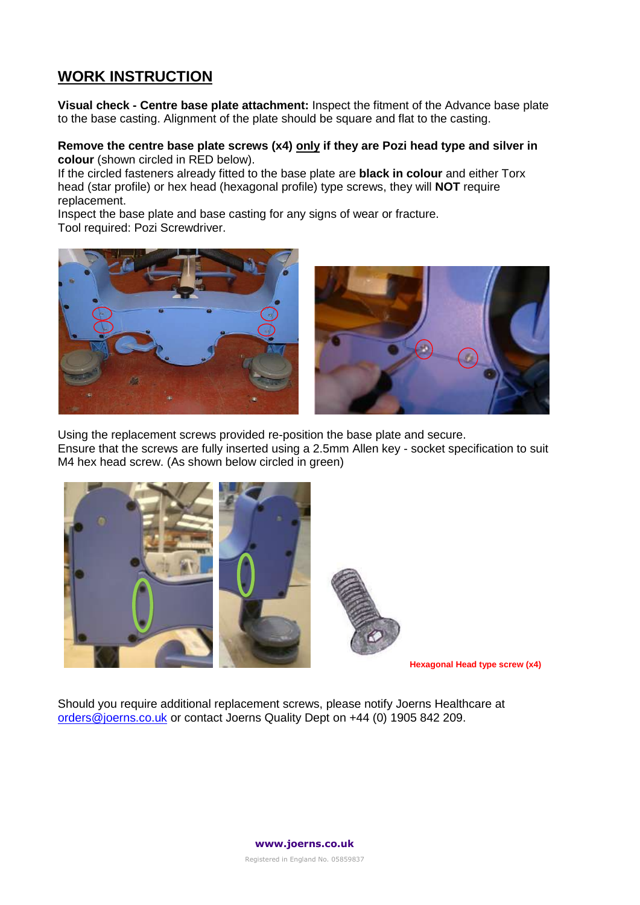## **WORK INSTRUCTION**

**Visual check - Centre base plate attachment:** Inspect the fitment of the Advance base plate to the base casting. Alignment of the plate should be square and flat to the casting.

**Remove the centre base plate screws (x4) only if they are Pozi head type and silver in colour** (shown circled in RED below).

If the circled fasteners already fitted to the base plate are **black in colour** and either Torx head (star profile) or hex head (hexagonal profile) type screws, they will **NOT** require replacement.

Inspect the base plate and base casting for any signs of wear or fracture. Tool required: Pozi Screwdriver.



Using the replacement screws provided re-position the base plate and secure. Ensure that the screws are fully inserted using a 2.5mm Allen key - socket specification to suit M4 hex head screw. (As shown below circled in green)



Should you require additional replacement screws, please notify Joerns Healthcare at [orders@joerns.co.uk](mailto:orders@joerns.co.uk) or contact Joerns Quality Dept on +44 (0) 1905 842 209.



Registered in England No. 05859837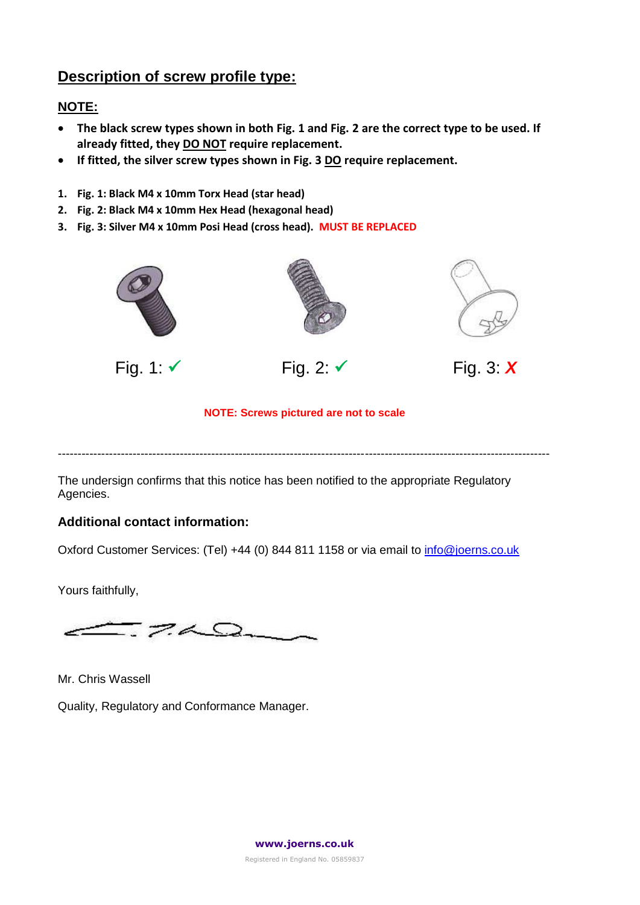## **Description of screw profile type:**

## **NOTE:**

- **The black screw types shown in both Fig. 1 and Fig. 2 are the correct type to be used. If already fitted, they DO NOT require replacement.**
- **If fitted, the silver screw types shown in Fig. 3 DO require replacement.**
- **1. Fig. 1: Black M4 x 10mm Torx Head (star head)**
- **2. Fig. 2: Black M4 x 10mm Hex Head (hexagonal head)**
- **3. Fig. 3: Silver M4 x 10mm Posi Head (cross head). MUST BE REPLACED**









#### **NOTE: Screws pictured are not to scale**

-----------------------------------------------------------------------------------------------------------------------------

The undersign confirms that this notice has been notified to the appropriate Regulatory Agencies.

## **Additional contact information:**

Oxford Customer Services: (Tel) +44 (0) 844 811 1158 or via email t[o info@joerns.co.uk](mailto:info@joerns.co.uk)

Yours faithfully,

 $7\triangle$ 

Mr. Chris Wassell

Quality, Regulatory and Conformance Manager.